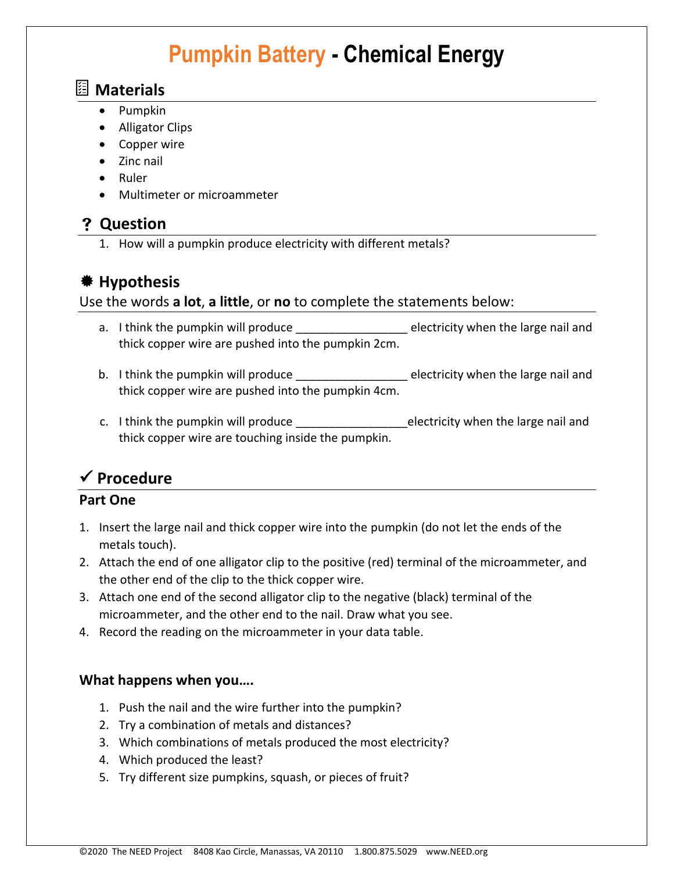# **Pumpkin Battery - Chemical Energy**

### **Materials**

- Pumpkin
- Alligator Clips
- Copper wire
- Zinc nail
- Ruler
- Multimeter or microammeter

### **Question**

1. How will a pumpkin produce electricity with different metals?

### **Hypothesis**

### Use the words **a lot**, **a little**, or **no** to complete the statements below:

- a. I think the pumpkin will produce example a selectricity when the large nail and thick copper wire are pushed into the pumpkin 2cm.
- b. I think the pumpkin will produce \_\_\_\_\_\_\_\_\_\_\_\_\_\_\_\_\_\_\_\_\_ electricity when the large nail and thick copper wire are pushed into the pumpkin 4cm.
- c. I think the pumpkin will produce \_\_\_\_\_\_\_\_\_\_\_\_\_\_\_\_\_\_\_\_\_\_\_electricity when the large nail and thick copper wire are touching inside the pumpkin.

## ✓ **Procedure**

### **Part One**

- 1. Insert the large nail and thick copper wire into the pumpkin (do not let the ends of the metals touch).
- 2. Attach the end of one alligator clip to the positive (red) terminal of the microammeter, and the other end of the clip to the thick copper wire.
- 3. Attach one end of the second alligator clip to the negative (black) terminal of the microammeter, and the other end to the nail. Draw what you see.
- 4. Record the reading on the microammeter in your data table.

### **What happens when you….**

- 1. Push the nail and the wire further into the pumpkin?
- 2. Try a combination of metals and distances?
- 3. Which combinations of metals produced the most electricity?
- 4. Which produced the least?
- 5. Try different size pumpkins, squash, or pieces of fruit?